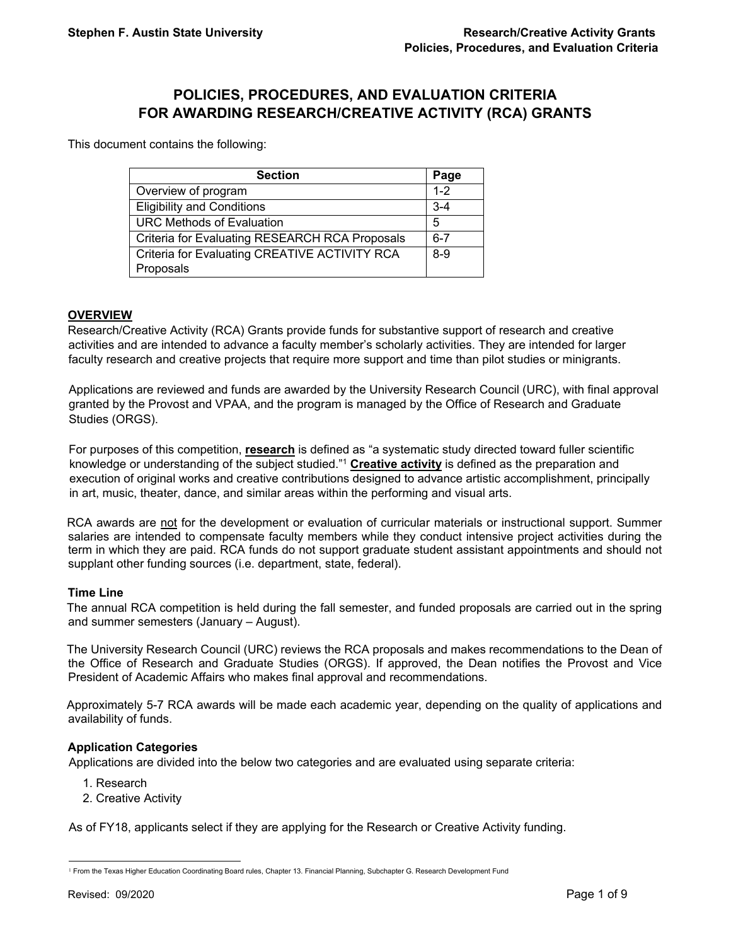# **POLICIES, PROCEDURES, AND EVALUATION CRITERIA FOR AWARDING RESEARCH/CREATIVE ACTIVITY (RCA) GRANTS**

This document contains the following:

| Page    |
|---------|
| $1 - 2$ |
| $3 - 4$ |
| 5       |
| $6 - 7$ |
| $8 - 9$ |
|         |

# **OVERVIEW**

Research/Creative Activity (RCA) Grants provide funds for substantive support of research and creative activities and are intended to advance a faculty member's scholarly activities. They are intended for larger faculty research and creative projects that require more support and time than pilot studies or minigrants.

Applications are reviewed and funds are awarded by the University Research Council (URC), with final approval granted by the Provost and VPAA, and the program is managed by the Office of Research and Graduate Studies (ORGS).

For purposes of this competition, **research** is defined as "a systematic study directed toward fuller scientific knowledge or understanding of the subject studied."1 **Creative activity** is defined as the preparation and execution of original works and creative contributions designed to advance artistic accomplishment, principally in art, music, theater, dance, and similar areas within the performing and visual arts.

RCA awards are not for the development or evaluation of curricular materials or instructional support. Summer salaries are intended to compensate faculty members while they conduct intensive project activities during the term in which they are paid. RCA funds do not support graduate student assistant appointments and should not supplant other funding sources (i.e. department, state, federal).

#### **Time Line**

The annual RCA competition is held during the fall semester, and funded proposals are carried out in the spring and summer semesters (January – August).

The University Research Council (URC) reviews the RCA proposals and makes recommendations to the Dean of the Office of Research and Graduate Studies (ORGS). If approved, the Dean notifies the Provost and Vice President of Academic Affairs who makes final approval and recommendations.

Approximately 5-7 RCA awards will be made each academic year, depending on the quality of applications and availability of funds.

#### **Application Categories**

Applications are divided into the below two categories and are evaluated using separate criteria:

- 1. Research
- 2. Creative Activity

As of FY18, applicants select if they are applying for the Research or Creative Activity funding.

l

<sup>&</sup>lt;sup>1</sup> From the Texas Higher Education Coordinating Board rules, Chapter 13. Financial Planning, Subchapter G. Research Development Fund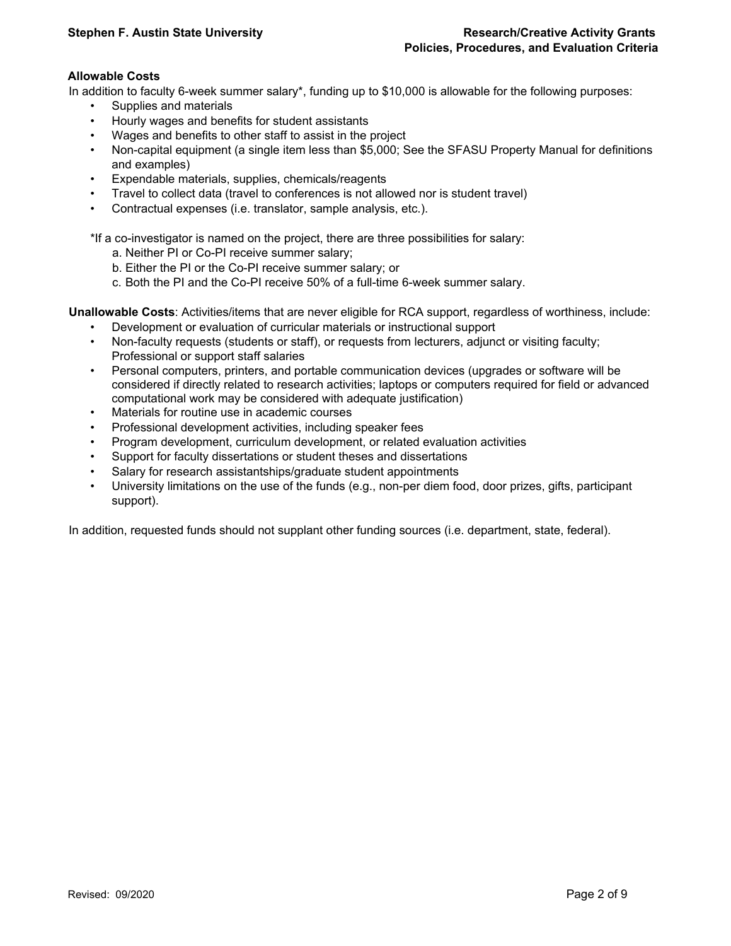# **Allowable Costs**

In addition to faculty 6-week summer salary\*, funding up to \$10,000 is allowable for the following purposes:

- Supplies and materials
- Hourly wages and benefits for student assistants
- Wages and benefits to other staff to assist in the project
- Non-capital equipment (a single item less than \$5,000; See the SFASU Property Manual for definitions and examples)
- Expendable materials, supplies, chemicals/reagents
- Travel to collect data (travel to conferences is not allowed nor is student travel)
- Contractual expenses (i.e. translator, sample analysis, etc.).

\*If a co-investigator is named on the project, there are three possibilities for salary:

- a. Neither PI or Co-PI receive summer salary;
- b. Either the PI or the Co-PI receive summer salary; or
- c. Both the PI and the Co-PI receive 50% of a full-time 6-week summer salary.

**Unallowable Costs**: Activities/items that are never eligible for RCA support, regardless of worthiness, include:

- Development or evaluation of curricular materials or instructional support
- Non-faculty requests (students or staff), or requests from lecturers, adjunct or visiting faculty; Professional or support staff salaries
- Personal computers, printers, and portable communication devices (upgrades or software will be considered if directly related to research activities; laptops or computers required for field or advanced computational work may be considered with adequate justification)
- Materials for routine use in academic courses
- Professional development activities, including speaker fees
- Program development, curriculum development, or related evaluation activities
- Support for faculty dissertations or student theses and dissertations
- Salary for research assistantships/graduate student appointments
- University limitations on the use of the funds (e.g., non-per diem food, door prizes, gifts, participant support).

In addition, requested funds should not supplant other funding sources (i.e. department, state, federal).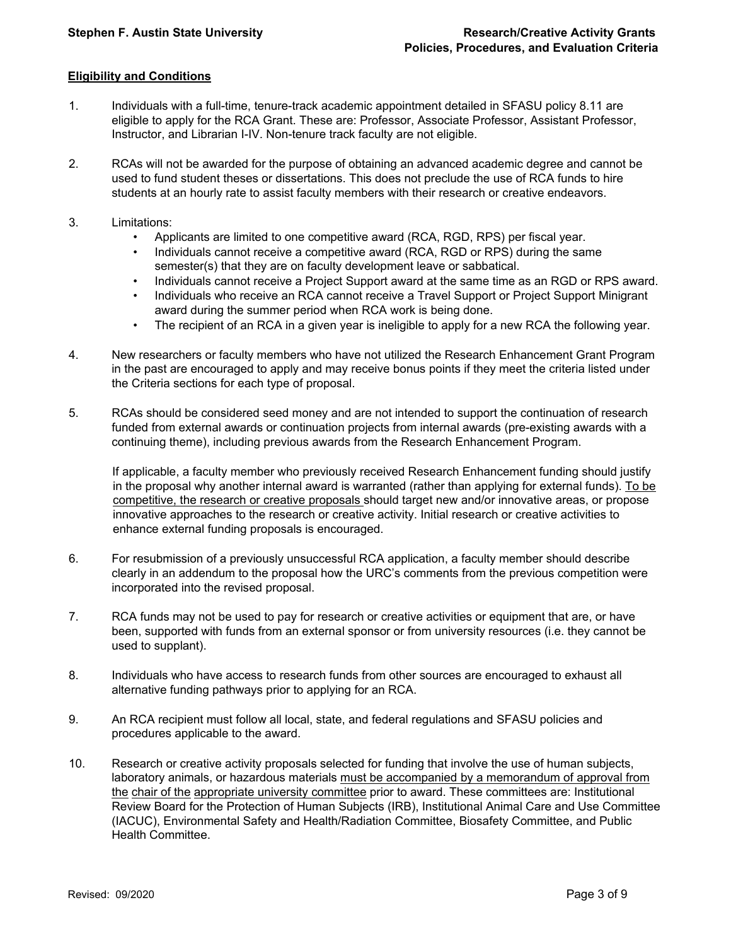## **Eligibility and Conditions**

- 1. Individuals with a full-time, tenure-track academic appointment detailed in SFASU policy 8.11 are eligible to apply for the RCA Grant. These are: Professor, Associate Professor, Assistant Professor, Instructor, and Librarian I-IV. Non-tenure track faculty are not eligible.
- 2. RCAs will not be awarded for the purpose of obtaining an advanced academic degree and cannot be used to fund student theses or dissertations. This does not preclude the use of RCA funds to hire students at an hourly rate to assist faculty members with their research or creative endeavors.
- 3. Limitations:
	- Applicants are limited to one competitive award (RCA, RGD, RPS) per fiscal year.
	- Individuals cannot receive a competitive award (RCA, RGD or RPS) during the same semester(s) that they are on faculty development leave or sabbatical.
	- Individuals cannot receive a Project Support award at the same time as an RGD or RPS award.
	- Individuals who receive an RCA cannot receive a Travel Support or Project Support Minigrant award during the summer period when RCA work is being done.
	- The recipient of an RCA in a given year is ineligible to apply for a new RCA the following year.
- 4. New researchers or faculty members who have not utilized the Research Enhancement Grant Program in the past are encouraged to apply and may receive bonus points if they meet the criteria listed under the Criteria sections for each type of proposal.
- 5. RCAs should be considered seed money and are not intended to support the continuation of research funded from external awards or continuation projects from internal awards (pre-existing awards with a continuing theme), including previous awards from the Research Enhancement Program.

If applicable, a faculty member who previously received Research Enhancement funding should justify in the proposal why another internal award is warranted (rather than applying for external funds). To be competitive, the research or creative proposals should target new and/or innovative areas, or propose innovative approaches to the research or creative activity. Initial research or creative activities to enhance external funding proposals is encouraged.

- 6. For resubmission of a previously unsuccessful RCA application, a faculty member should describe clearly in an addendum to the proposal how the URC's comments from the previous competition were incorporated into the revised proposal.
- 7. RCA funds may not be used to pay for research or creative activities or equipment that are, or have been, supported with funds from an external sponsor or from university resources (i.e. they cannot be used to supplant).
- 8. Individuals who have access to research funds from other sources are encouraged to exhaust all alternative funding pathways prior to applying for an RCA.
- 9. An RCA recipient must follow all local, state, and federal regulations and SFASU policies and procedures applicable to the award.
- 10. Research or creative activity proposals selected for funding that involve the use of human subjects, laboratory animals, or hazardous materials must be accompanied by a memorandum of approval from the chair of the appropriate university committee prior to award. These committees are: Institutional Review Board for the Protection of Human Subjects (IRB), Institutional Animal Care and Use Committee (IACUC), Environmental Safety and Health/Radiation Committee, Biosafety Committee, and Public Health Committee.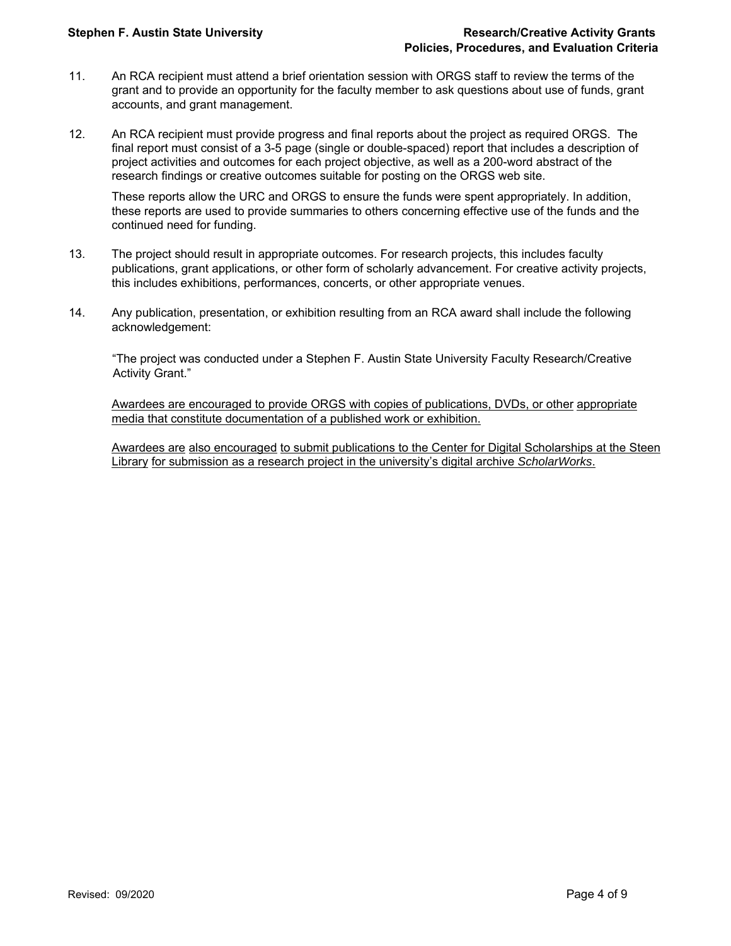- 11. An RCA recipient must attend a brief orientation session with ORGS staff to review the terms of the grant and to provide an opportunity for the faculty member to ask questions about use of funds, grant accounts, and grant management.
- 12. An RCA recipient must provide progress and final reports about the project as required ORGS. The final report must consist of a 3-5 page (single or double-spaced) report that includes a description of project activities and outcomes for each project objective, as well as a 200-word abstract of the research findings or creative outcomes suitable for posting on the ORGS web site.

These reports allow the URC and ORGS to ensure the funds were spent appropriately. In addition, these reports are used to provide summaries to others concerning effective use of the funds and the continued need for funding.

- 13. The project should result in appropriate outcomes. For research projects, this includes faculty publications, grant applications, or other form of scholarly advancement. For creative activity projects, this includes exhibitions, performances, concerts, or other appropriate venues.
- 14. Any publication, presentation, or exhibition resulting from an RCA award shall include the following acknowledgement:

"The project was conducted under a Stephen F. Austin State University Faculty Research/Creative Activity Grant."

Awardees are encouraged to provide ORGS with copies of publications, DVDs, or other appropriate media that constitute documentation of a published work or exhibition.

Awardees are also encouraged to submit publications to the Center for Digital Scholarships at the Steen Library for submission as a research project in the university's digital archive *ScholarWorks*.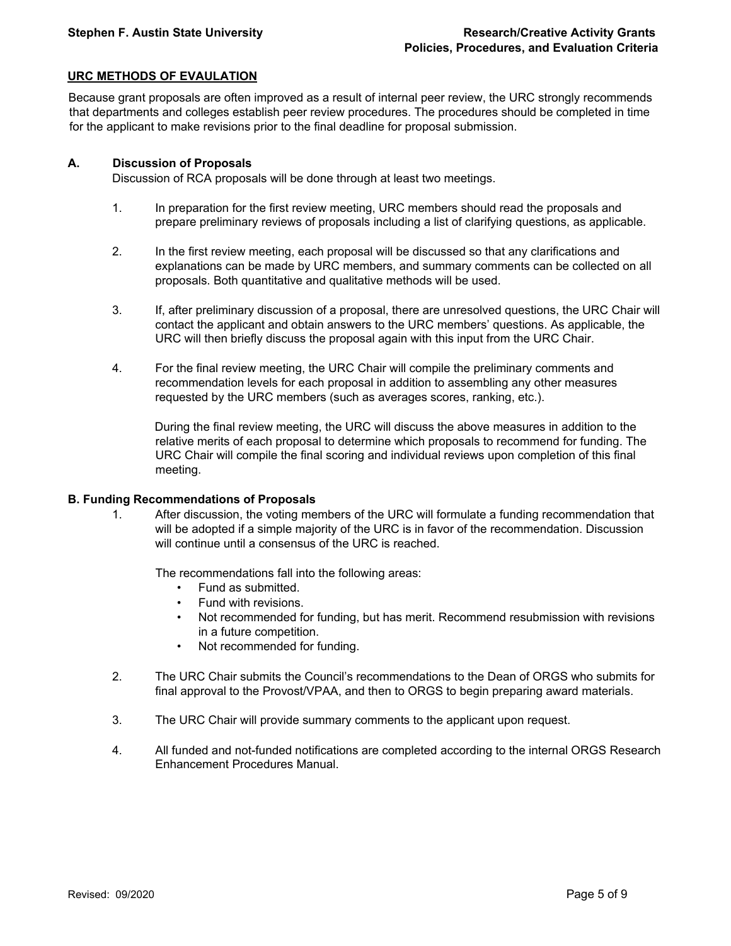# **URC METHODS OF EVAULATION**

Because grant proposals are often improved as a result of internal peer review, the URC strongly recommends that departments and colleges establish peer review procedures. The procedures should be completed in time for the applicant to make revisions prior to the final deadline for proposal submission.

#### **A. Discussion of Proposals**

Discussion of RCA proposals will be done through at least two meetings.

- 1. In preparation for the first review meeting, URC members should read the proposals and prepare preliminary reviews of proposals including a list of clarifying questions, as applicable.
- 2. In the first review meeting, each proposal will be discussed so that any clarifications and explanations can be made by URC members, and summary comments can be collected on all proposals. Both quantitative and qualitative methods will be used.
- 3. If, after preliminary discussion of a proposal, there are unresolved questions, the URC Chair will contact the applicant and obtain answers to the URC members' questions. As applicable, the URC will then briefly discuss the proposal again with this input from the URC Chair.
- 4. For the final review meeting, the URC Chair will compile the preliminary comments and recommendation levels for each proposal in addition to assembling any other measures requested by the URC members (such as averages scores, ranking, etc.).

During the final review meeting, the URC will discuss the above measures in addition to the relative merits of each proposal to determine which proposals to recommend for funding. The URC Chair will compile the final scoring and individual reviews upon completion of this final meeting.

#### **B. Funding Recommendations of Proposals**

1. After discussion, the voting members of the URC will formulate a funding recommendation that will be adopted if a simple majority of the URC is in favor of the recommendation. Discussion will continue until a consensus of the URC is reached.

The recommendations fall into the following areas:

- Fund as submitted.
- Fund with revisions.
- Not recommended for funding, but has merit. Recommend resubmission with revisions in a future competition.
- Not recommended for funding.
- 2. The URC Chair submits the Council's recommendations to the Dean of ORGS who submits for final approval to the Provost/VPAA, and then to ORGS to begin preparing award materials.
- 3. The URC Chair will provide summary comments to the applicant upon request.
- 4. All funded and not-funded notifications are completed according to the internal ORGS Research Enhancement Procedures Manual.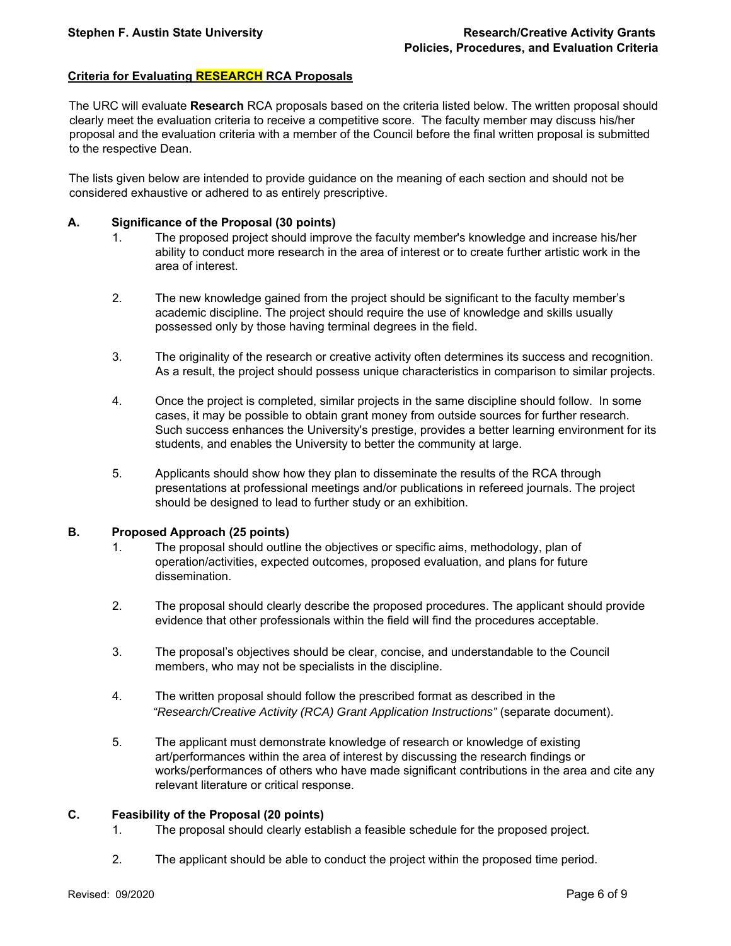# **Criteria for Evaluating RESEARCH RCA Proposals**

The URC will evaluate **Research** RCA proposals based on the criteria listed below. The written proposal should clearly meet the evaluation criteria to receive a competitive score. The faculty member may discuss his/her proposal and the evaluation criteria with a member of the Council before the final written proposal is submitted to the respective Dean.

The lists given below are intended to provide guidance on the meaning of each section and should not be considered exhaustive or adhered to as entirely prescriptive.

#### **A. Significance of the Proposal (30 points)**

- 1. The proposed project should improve the faculty member's knowledge and increase his/her ability to conduct more research in the area of interest or to create further artistic work in the area of interest.
- 2. The new knowledge gained from the project should be significant to the faculty member's academic discipline. The project should require the use of knowledge and skills usually possessed only by those having terminal degrees in the field.
- 3. The originality of the research or creative activity often determines its success and recognition. As a result, the project should possess unique characteristics in comparison to similar projects.
- 4. Once the project is completed, similar projects in the same discipline should follow. In some cases, it may be possible to obtain grant money from outside sources for further research. Such success enhances the University's prestige, provides a better learning environment for its students, and enables the University to better the community at large.
- 5. Applicants should show how they plan to disseminate the results of the RCA through presentations at professional meetings and/or publications in refereed journals. The project should be designed to lead to further study or an exhibition.

# **B. Proposed Approach (25 points)**

- 1. The proposal should outline the objectives or specific aims, methodology, plan of operation/activities, expected outcomes, proposed evaluation, and plans for future dissemination.
- 2. The proposal should clearly describe the proposed procedures. The applicant should provide evidence that other professionals within the field will find the procedures acceptable.
- 3. The proposal's objectives should be clear, concise, and understandable to the Council members, who may not be specialists in the discipline.
- 4. The written proposal should follow the prescribed format as described in the  *"Research/Creative Activity (RCA) Grant Application Instructions"* (separate document).
- 5. The applicant must demonstrate knowledge of research or knowledge of existing art/performances within the area of interest by discussing the research findings or works/performances of others who have made significant contributions in the area and cite any relevant literature or critical response.

## **C. Feasibility of the Proposal (20 points)**

- 1. The proposal should clearly establish a feasible schedule for the proposed project.
- 2. The applicant should be able to conduct the project within the proposed time period.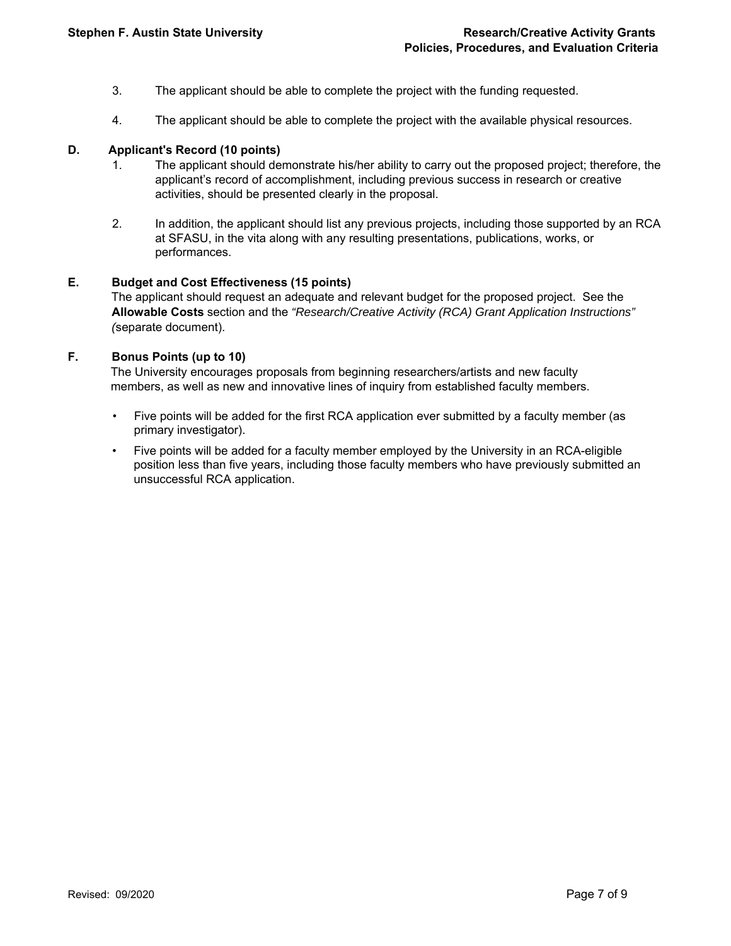- 3. The applicant should be able to complete the project with the funding requested.
- 4. The applicant should be able to complete the project with the available physical resources.

## **D. Applicant's Record (10 points)**

- 1. The applicant should demonstrate his/her ability to carry out the proposed project; therefore, the applicant's record of accomplishment, including previous success in research or creative activities, should be presented clearly in the proposal.
- 2. In addition, the applicant should list any previous projects, including those supported by an RCA at SFASU, in the vita along with any resulting presentations, publications, works, or performances.

# **E. Budget and Cost Effectiveness (15 points)**

 The applicant should request an adequate and relevant budget for the proposed project. See the **Allowable Costs** section and the *"Research/Creative Activity (RCA) Grant Application Instructions" (*separate document).

# **F. Bonus Points (up to 10)**

 The University encourages proposals from beginning researchers/artists and new faculty members, as well as new and innovative lines of inquiry from established faculty members.

- Five points will be added for the first RCA application ever submitted by a faculty member (as primary investigator).
- Five points will be added for a faculty member employed by the University in an RCA-eligible position less than five years, including those faculty members who have previously submitted an unsuccessful RCA application.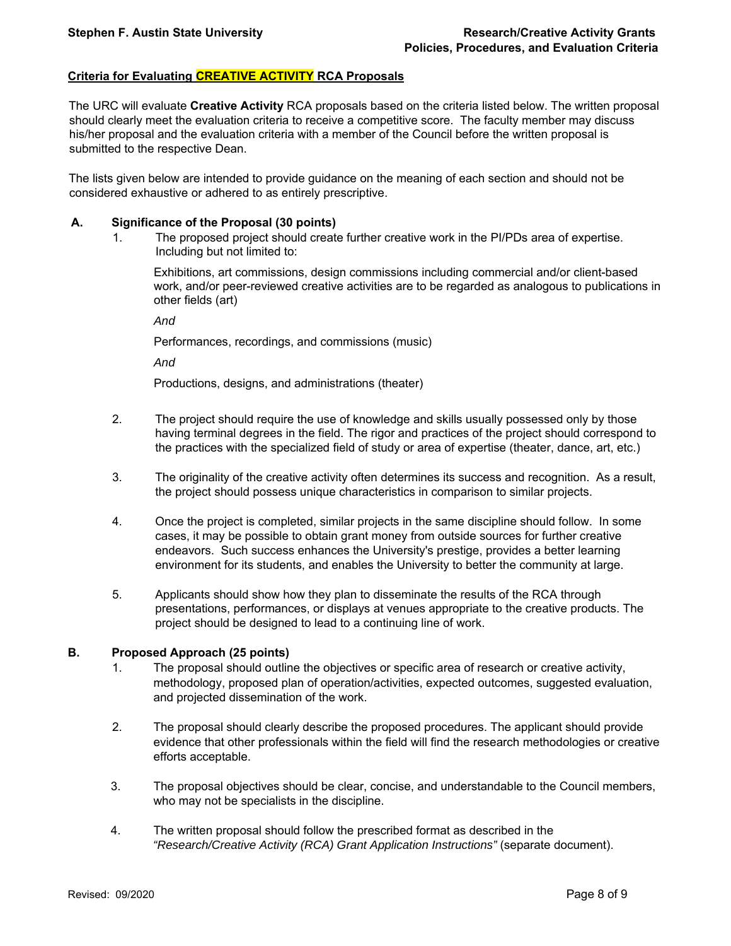# **Criteria for Evaluating CREATIVE ACTIVITY RCA Proposals**

The URC will evaluate **Creative Activity** RCA proposals based on the criteria listed below. The written proposal should clearly meet the evaluation criteria to receive a competitive score. The faculty member may discuss his/her proposal and the evaluation criteria with a member of the Council before the written proposal is submitted to the respective Dean.

The lists given below are intended to provide guidance on the meaning of each section and should not be considered exhaustive or adhered to as entirely prescriptive.

#### **A. Significance of the Proposal (30 points)**

1. The proposed project should create further creative work in the PI/PDs area of expertise. Including but not limited to:

Exhibitions, art commissions, design commissions including commercial and/or client-based work, and/or peer-reviewed creative activities are to be regarded as analogous to publications in other fields (art)

*And* 

Performances, recordings, and commissions (music)

*And* 

Productions, designs, and administrations (theater)

- 2. The project should require the use of knowledge and skills usually possessed only by those having terminal degrees in the field. The rigor and practices of the project should correspond to the practices with the specialized field of study or area of expertise (theater, dance, art, etc.)
- 3. The originality of the creative activity often determines its success and recognition. As a result, the project should possess unique characteristics in comparison to similar projects.
- 4. Once the project is completed, similar projects in the same discipline should follow. In some cases, it may be possible to obtain grant money from outside sources for further creative endeavors. Such success enhances the University's prestige, provides a better learning environment for its students, and enables the University to better the community at large.
- 5. Applicants should show how they plan to disseminate the results of the RCA through presentations, performances, or displays at venues appropriate to the creative products. The project should be designed to lead to a continuing line of work.

#### **B. Proposed Approach (25 points)**

- 1. The proposal should outline the objectives or specific area of research or creative activity, methodology, proposed plan of operation/activities, expected outcomes, suggested evaluation, and projected dissemination of the work.
- 2. The proposal should clearly describe the proposed procedures. The applicant should provide evidence that other professionals within the field will find the research methodologies or creative efforts acceptable.
- 3. The proposal objectives should be clear, concise, and understandable to the Council members, who may not be specialists in the discipline.
- 4. The written proposal should follow the prescribed format as described in the  *"Research/Creative Activity (RCA) Grant Application Instructions"* (separate document).